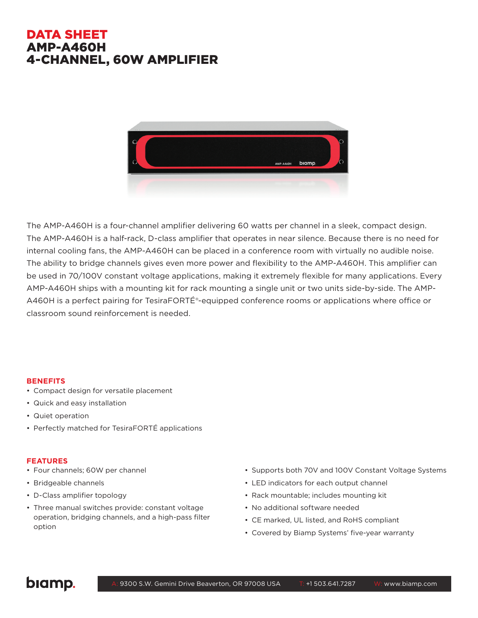## DATA SHEET AMP-A460H 4-CHANNEL, 60W AMPLIFIER



The AMP-A460H is a four-channel amplifier delivering 60 watts per channel in a sleek, compact design. The AMP-A460H is a half-rack, D-class amplifier that operates in near silence. Because there is no need for internal cooling fans, the AMP-A460H can be placed in a conference room with virtually no audible noise. The ability to bridge channels gives even more power and flexibility to the AMP-A460H. This amplifier can be used in 70/100V constant voltage applications, making it extremely flexible for many applications. Every AMP-A460H ships with a mounting kit for rack mounting a single unit or two units side-by-side. The AMP-A460H is a perfect pairing for TesiraFORTÉ®-equipped conference rooms or applications where office or classroom sound reinforcement is needed.

#### **BENEFITS**

- Compact design for versatile placement
- Quick and easy installation
- Quiet operation
- Perfectly matched for TesiraFORTÉ applications

#### **FEATURES**

- Four channels; 60W per channel
- Bridgeable channels
- D-Class amplifier topology
- Three manual switches provide: constant voltage operation, bridging channels, and a high-pass filter option
- Supports both 70V and 100V Constant Voltage Systems
- LED indicators for each output channel
- Rack mountable; includes mounting kit
- No additional software needed
- CE marked, UL listed, and RoHS compliant
- Covered by Biamp Systems' five-year warranty

# biamp.